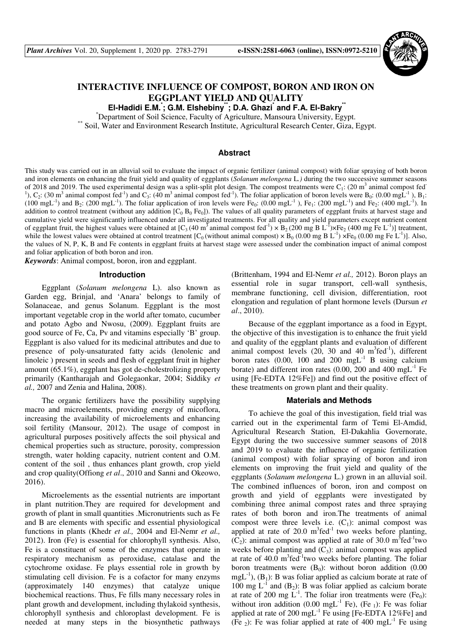

# **INTERACTIVE INFLUENCE OF COMPOST, BORON AND IRON ON EGGPLANT YIELD AND QUALITY**

**El-Hadidi E.M.\* ; G.M. Elshebiny\*\*; D.A. Ghazi\* and F.A. El-Bakry\*\***

\*Department of Soil Science, Faculty of Agriculture, Mansoura University, Egypt.

\*\* Soil, Water and Environment Research Institute, Agricultural Research Center, Giza, Egypt.

# **Abstract**

This study was carried out in an alluvial soil to evaluate the impact of organic fertilizer (animal compost) with foliar spraying of both boron and iron elements on enhancing the fruit yield and quality of eggplants (*Solanum melongena* L*.)* during the two successive summer seasons of 2018 and 2019. The used experimental design was a split-split plot design. The compost treatments were  $C_1$ : (20 m<sup>3</sup> animal compost fed <sup>1</sup>), C<sub>2</sub>: (30 m<sup>3</sup> animal compost fed<sup>-1</sup>) and C<sub>3</sub>: (40 m<sup>3</sup> animal compost fed<sup>-1</sup>). The foliar application of boron levels were B<sub>0</sub>: (0.00 mgL<sup>-1</sup>), B<sub>1</sub>:  $(100 \text{ mgL}^{-1})$  and B<sub>2</sub>:  $(200 \text{ mgL}^{-1})$ . The foliar application of iron levels were Fe<sub>0</sub>:  $(0.00 \text{ mgL}^{-1})$ , Fe<sub>1</sub>:  $(200 \text{ mgL}^{-1})$  and Fe<sub>2</sub>:  $(400 \text{ mgL}^{-1})$ . In addition to control treatment (without any addition  $[C_0 B_0 F_{0}]$ ). The values of all quality parameters of eggplant fruits at harvest stage and cumulative yield were significantly influenced under all investigated treatments. For all quality and yield parameters except nutrient content of eggplant fruit, the highest values were obtained at  $[C_3 (40 \text{ m}^3 \text{ animal compost fed}^{-1}) \times B_2 (200 \text{ mg } B L^{-1}) \times F_2 (400 \text{ mg } Fe L^{-1})]$  treatment, while the lowest values were obtained at control treatment  $[C_0$  (without animal compost)  $\times$  B<sub>0</sub> (0.00 mg B L<sup>-1</sup>)  $\times$  Fe<sub>0</sub> (0.00 mg Fe L<sup>-1</sup>)]. Also, the values of N, P, K, B and Fe contents in eggplant fruits at harvest stage were assessed under the combination impact of animal compost and foliar application of both boron and iron.

*Keywords*: Animal compost, boron, iron and eggplant.

#### **Introduction**

Eggplant (*Solanum melongena* L). also known as Garden egg, Brinjal, and 'Anara' belongs to family of Solanaceae, and genus Solanum. Eggplant is the most important vegetable crop in the world after tomato, cucumber and potato Agbo and Nwosu, (2009). Eggplant fruits are good source of Fe, Ca, Pv and vitamins especially 'B' group. Eggplant is also valued for its medicinal attributes and due to presence of poly-unsaturated fatty acids (lenolenic and linoleic ) present in seeds and flesh of eggplant fruit in higher amount (65.1%), eggplant has got de-cholestrolizing property primarily (Kantharajah and Golegaonkar, 2004; Siddiky *et al.,* 2007 and Zenia and Halina, 2008).

The organic fertilizers have the possibility supplying macro and microelements, providing energy of micoflora, increasing the availability of microelements and enhancing soil fertility (Mansour, 2012). The usage of compost in agricultural purposes positively affects the soil physical and chemical properties such as structure, porosity, compression strength, water holding capacity, nutrient content and O.M. content of the soil , thus enhances plant growth, crop yield and crop quality(Offiong *et al*., 2010 and Sanni and Okeowo, 2016).

Microelements as the essential nutrients are important in plant nutrition.They are required for development and growth of plant in small quantities .Micronutrients such as Fe and B are elements with specific and essential physiological functions in plants (Khedr *et al.,* 2004 and El-Nemr *et al.,* 2012). Iron (Fe) is essential for chlorophyll synthesis. Also, Fe is a constituent of some of the enzymes that operate in respiratory mechanism as peroxidase, catalase and the cytochrome oxidase. Fe plays essential role in growth by stimulating cell division. Fe is a cofactor for many enzyms (approximately 140 enzymes) that catalyze unique biochemical reactions. Thus, Fe fills many necessary roles in plant growth and development, including thylakoid synthesis, chlorophyll synthesis and chloroplast development. Fe is needed at many steps in the biosynthetic pathways

(Brittenham, 1994 and El-Nemr *et al.,* 2012). Boron plays an essential role in sugar transport, cell-wall synthesis, membrane functioning, cell division, differentiation, root elongation and regulation of plant hormone levels (Dursun *et al*., 2010).

Because of the eggplant importance as a food in Egypt, the objective of this investigation is to enhance the fruit yield and quality of the eggplant plants and evaluation of different animal compost levels  $(20, 30 \text{ and } 40 \text{ m}^3 \text{fed}^{-1})$ , different boron rates (0.00, 100 and 200 mg $L^{-1}$  B using calcium borate) and different iron rates  $(0.00, 200 \text{ and } 400 \text{ mgL}^{-1})$  Fe using [Fe-EDTA 12%Fe]) and find out the positive effect of these treatments on grown plant and their quality.

#### **Materials and Methods**

To achieve the goal of this investigation, field trial was carried out in the experimental farm of Temi El-Amdid, Agricultural Research Station, El-Dakahlia Governorate, Egypt during the two successive summer seasons of 2018 and 2019 to evaluate the influence of organic fertilization (animal compost) with foliar spraying of boron and iron elements on improving the fruit yield and quality of the eggplants (*Solanum melongena* L.) grown in an alluvial soil. The combined influences of boron, iron and compost on growth and yield of eggplants were investigated by combining three animal compost rates and three spraying rates of both boron and iron.The treatments of animal compost were three levels i.e.  $(C_1)$ : animal compost was applied at rate of  $20.0 \text{ m}^3$  fed<sup>-1</sup> two weeks before planting,  $(C_2)$ : animal compost was applied at rate of 30.0 m<sup>3</sup>fed<sup>-1</sup>two weeks before planting and  $(C_3)$ : animal compost was applied at rate of  $40.0 \text{ m}^3$ fed<sup>-1</sup>two weeks before planting. The foliar boron treatments were  $(B_0)$ : without boron addition (0.00 mgL<sup>-1</sup>), (B<sub>1</sub>): B was foliar applied as calcium borate at rate of 100 mg  $L^{-1}$  and  $(B_2)$ : B was foliar applied as calcium borate at rate of 200 mg  $L^{-1}$ . The foliar iron treatments were (Fe<sub>0</sub>): without iron addition (0.00 mgL<sup>-1</sup> Fe), (Fe<sub>1</sub>): Fe was foliar applied at rate of 200 mgL<sup>-1</sup> Fe using [Fe-EDTA 12%Fe] and (Fe  $_2$ ): Fe was foliar applied at rate of 400 mgL<sup>-1</sup> Fe using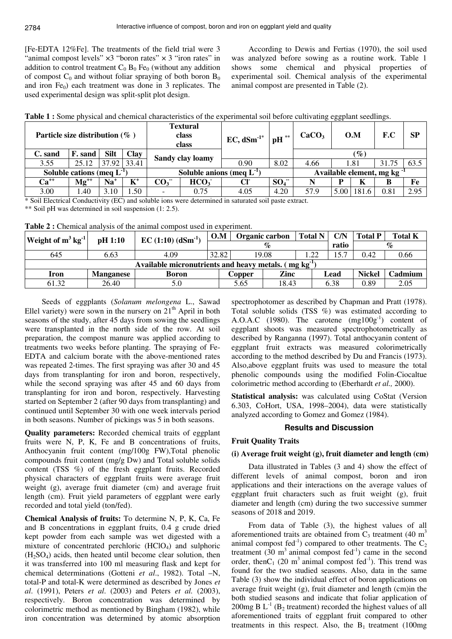[Fe-EDTA 12%Fe]. The treatments of the field trial were 3 "animal compost levels"  $\times$ 3 "boron rates"  $\times$  3 "iron rates" in addition to control treatment  $C_0$   $B_0$  Fe<sub>0</sub> (without any addition of compost  $C_0$  and without foliar spraying of both boron  $B_0$ and iron  $Fe<sub>0</sub>$ ) each treatment was done in 3 replicates. The used experimental design was split-split plot design.

According to Dewis and Fertias (1970), the soil used was analyzed before sowing as a routine work. Table 1 shows some chemical and physical properties of experimental soil. Chemical analysis of the experimental animal compost are presented in Table (2).

| Particle size distribution $(\%$ ) |                                 |             |             | <b>Textural</b><br>class<br>class |                             | $EC, dSm^{-1*}$ | $pH$ **  | CaCO <sub>3</sub>                      |      | O.M    | F.C   | <b>SP</b> |
|------------------------------------|---------------------------------|-------------|-------------|-----------------------------------|-----------------------------|-----------------|----------|----------------------------------------|------|--------|-------|-----------|
| C. sand                            | F. sand                         | Silt        | <b>Clay</b> |                                   | Sandy clay loamy            |                 |          |                                        |      | $(\%)$ |       |           |
| 3.55                               | 25.12                           | 37.92 33.41 |             |                                   |                             | 0.90            | 8.02     | 4.66                                   |      | 1.81   | 31.75 | 63.5      |
|                                    | Soluble cations (meq $L^{-1}$ ) |             |             |                                   | Soluble anions (meq $L^1$ ) |                 |          | Available element, mg kg <sup>-1</sup> |      |        |       |           |
| $Ca^{++}$                          | $Mg^{++}$                       | $Na+$       | $K^+$       | CO <sub>3</sub>                   | HCO <sub>3</sub>            |                 | $SO_4^-$ |                                        | P    | K      | в     | Fe        |
| 3.00                               | . 40                            | 3.10        | .50         |                                   | 0.75                        | 4.05            | 4.20     | 57.9                                   | 5.00 | 181.   | 0.81  | 2.95      |

**Table 1 :** Some physical and chemical characteristics of the experimental soil before cultivating eggplant seedlings.

\* Soil Electrical Conductivity (EC) and soluble ions were determined in saturated soil paste extract.

\*\* Soil pH was determined in soil suspension (1: 2.5).

**Table 2 :** Chemical analysis of the animal compost used in experiment.

| <b>Weight of <math>m^3</math> kg</b> <sup>-1</sup> | pH 1:10          | EC $(1:10)$ $(dSm^{-1})$                                          | O.M   |               | Organic carbon              | <b>Total N</b> | C/N  | <b>Total P</b> | <b>Total K</b> |
|----------------------------------------------------|------------------|-------------------------------------------------------------------|-------|---------------|-----------------------------|----------------|------|----------------|----------------|
|                                                    |                  |                                                                   |       |               | $\mathcal{O}_{\mathcal{O}}$ | ratio          |      | $\%$           |                |
| 645                                                | 6.63             | 4.09                                                              | 32.82 |               | 19.08                       |                | 15.7 | 0.42           | 0.66           |
|                                                    |                  | Available micronutrients and heavy metals. (mg kg <sup>-1</sup> ) |       |               |                             |                |      |                |                |
| Iron                                               | <b>Manganese</b> | Boron                                                             |       | Copper        | Zinc                        |                | Lead | <b>Nickel</b>  | Cadmium        |
| 61.32                                              | 26.40            | 5.0                                                               |       | 18.43<br>5.65 |                             |                | 6.38 | 0.89           | 2.05           |

Seeds of eggplants (*Solanum melongena* L., Sawad Ellel variety) were sown in the nursery on  $21<sup>th</sup>$  April in both seasons of the study, after 45 days from sowing the seedlings were transplanted in the north side of the row. At soil preparation, the compost manure was applied according to treatments two weeks before planting. The spraying of Fe-EDTA and calcium borate with the above-mentioned rates was repeated 2-times. The first spraying was after 30 and 45 days from transplanting for iron and boron, respectively, while the second spraying was after 45 and 60 days from transplanting for iron and boron, respectively. Harvesting started on September 2 (after 90 days from transplanting) and continued until September 30 with one week intervals period in both seasons. Number of pickings was 5 in both seasons.

**Quality parameters:** Recorded chemical traits of eggplant fruits were N, P, K, Fe and B concentrations of fruits, Anthocyanin fruit content (mg/100g FW),Total phenolic compounds fruit content (mg/g Dw) and Total soluble solids content (TSS %) of the fresh eggplant fruits. Recorded physical characters of eggplant fruits were average fruit weight (g), average fruit diameter (cm) and average fruit length (cm). Fruit yield parameters of eggplant were early recorded and total yield (ton/fed).

**Chemical Analysis of fruits:** To determine N, P, K, Ca, Fe and B concentrations in eggplant fruits, 0.4 g crude dried kept powder from each sample was wet digested with a mixture of concentrated perchloric (HClO4) and sulphoric  $(H<sub>2</sub>SO<sub>4</sub>)$  acids, then heated until become clear solution, then it was transferred into 100 ml measuring flask and kept for chemical determinations (Gotteni *et al*., 1982). Total –N, total-P and total-K were determined as described by Jones *et al*. (1991), Peters *et al*. (2003) and Peters *et al.* (2003), respectively. Boron concentration was determined by colorimetric method as mentioned by Bingham (1982), while iron concentration was determined by atomic absorption

spectrophotomer as described by Chapman and Pratt (1978). Total soluble solids (TSS %) was estimated according to A.O.A.C (1980). The carotene  $(mg100g^{-1})$  content of eggplant shoots was measured spectrophotometrically as described by Ranganna (1997). Total anthocyanin content of eggplant fruit extracts was measured colorimetrically according to the method described by Du and Francis (1973). Also,above eggplant fruits was used to measure the total phenolic compounds using the modified Folin-Ciocaltue colorimetric method according to (Eberhardt *et al.,* 2000).

**Statistical analysis:** was calculated using CoStat (Version 6.303, CoHort, USA, 1998–2004), data were statistically analyzed according to Gomez and Gomez (1984).

# **Results and Discussion**

### **Fruit Quality Traits**

# **(i) Average fruit weight (g), fruit diameter and length (cm)**

Data illustrated in Tables (3 and 4) show the effect of different levels of animal compost, boron and iron applications and their interactions on the average values of eggplant fruit characters such as fruit weight (g), fruit diameter and length (cm) during the two successive summer seasons of 2018 and 2019.

From data of Table (3), the highest values of all aforementioned traits are obtained from  $C_3$  treatment (40 m<sup>3</sup> animal compost fed<sup>-1</sup>) compared to other treatments. The  $C_2$ treatment  $(30 \text{ m}^3 \text{ animal compost fed}^{-1})$  came in the second order, then  $C_1$  (20 m<sup>3</sup> animal compost fed<sup>-1</sup>). This trend was found for the two studied seasons. Also, data in the same Table (3) show the individual effect of boron applications on average fruit weight (g), fruit diameter and length (cm)in the both studied seasons and indicate that foliar application of 200mg B  $L^{-1}$  (B<sub>2</sub> treatment) recorded the highest values of all aforementioned traits of eggplant fruit compared to other treatments in this respect. Also, the  $B_1$  treatment (100mg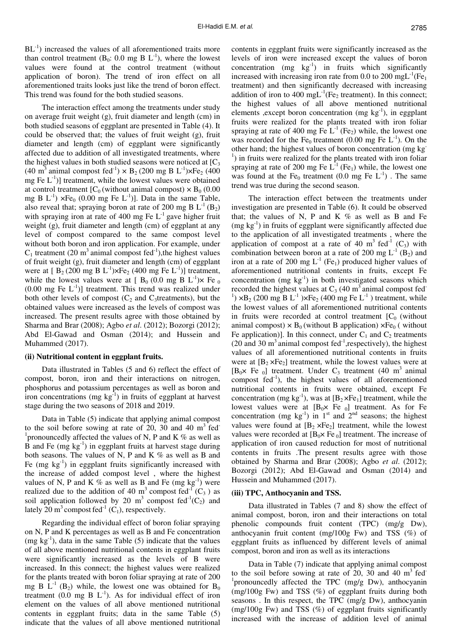$BL^{-1}$ ) increased the values of all aforementioned traits more than control treatment ( $B_0$ : 0.0 mg B  $L^{-1}$ ), where the lowest values were found at the control treatment (without application of boron). The trend of iron effect on all aforementioned traits looks just like the trend of boron effect. This trend was found for the both studied seasons.

The interaction effect among the treatments under study on average fruit weight (g), fruit diameter and length (cm) in both studied seasons of eggplant are presented in Table (4). It could be observed that; the values of fruit weight (g), fruit diameter and length (cm) of eggplant were significantly affected due to addition of all investigated treatments, where the highest values in both studied seasons were noticed at  $[C_3]$ (40 m<sup>3</sup> animal compost fed<sup>-1</sup>)  $\times$  B<sub>2</sub> (200 mg B L<sup>-1</sup>) $\times$ Fe<sub>2</sub> (400 mg Fe  $L^{-1}$ )] treatment, while the lowest values were obtained at control treatment  $[C_0$  (without animal compost)  $\times$  B<sub>0</sub> (0.00) mg B  $L^{-1}$ )  $\times$ Fe<sub>0</sub> (0.00 mg Fe  $L^{-1}$ )]. Data in the same Table, also reveal that; spraying boron at rate of 200 mg B  $L^{-1}$  (B<sub>2</sub>) with spraying iron at rate of 400 mg Fe  $L^{-1}$  gave higher fruit weight (g), fruit diameter and length (cm) of eggplant at any level of compost compared to the same compost level without both boron and iron application. For example, under  $C_1$  treatment (20 m<sup>3</sup> animal compost fed<sup>-1</sup>), the highest values of fruit weight (g), fruit diameter and length (cm) of eggplant were at  $[B_2(200 \text{ mg } B L^{-1}) \times Fe_2(400 \text{ mg } Fe L^{-1})]$  treatment, while the lowest values were at [  $B_0$  (0.0 mg B L<sup>-1</sup>) $\times$  Fe<sub>0</sub>  $(0.00 \text{ mg} \text{ Fe } L^{-1})$ ] treatment. This trend was realized under both other levels of compost  $(C_2$  and  $C_3$ treatments), but the obtained values were increased as the levels of compost was increased. The present results agree with those obtained by Sharma and Brar (2008); Agbo *et al*. (2012); Bozorgi (2012); Abd El-Gawad and Osman (2014); and Hussein and Muhammed (2017).

#### **(ii) Nutritional content in eggplant fruits.**

Data illustrated in Tables (5 and 6) reflect the effect of compost, boron, iron and their interactions on nitrogen, phosphorus and potassium percentages as well as boron and iron concentrations (mg  $kg^{-1}$ ) in fruits of eggplant at harvest stage during the two seasons of 2018 and 2019.

Data in Table (5) indicate that applying animal compost to the soil before sowing at rate of 20, 30 and 40  $m<sup>3</sup>$  fed<sup>-</sup> <sup>1</sup> pronouncedly affected the values of N, P and K  $%$  as well as B and Fe  $(mg kg<sup>-1</sup>)$  in eggplant fruits at harvest stage during both seasons. The values of N, P and K  $\%$  as well as B and Fe  $(mg kg<sup>-1</sup>)$  in eggplant fruits significantly increased with the increase of added compost level , where the highest values of N, P and K % as well as B and Fe (mg  $kg^{-1}$ ) were realized due to the addition of 40 m<sup>3</sup> compost fed<sup>-1</sup> (C<sub>3</sub>) as soil application followed by 20 m<sup>3</sup> compost fed<sup>-1</sup>(C<sub>2</sub>) and lately 20 m<sup>3</sup> compost fed<sup>-1</sup> (C<sub>1</sub>), respectively.

Regarding the individual effect of boron foliar spraying on N, P and K percentages as well as B and Fe concentration  $(mg kg<sup>-1</sup>)$ , data in the same Table (5) indicate that the values of all above mentioned nutritional contents in eggplant fruits were significantly increased as the levels of B were increased. In this connect; the highest values were realized for the plants treated with boron foliar spraying at rate of 200 mg B  $L^{-1}$  (B<sub>2</sub>) while, the lowest one was obtained for B<sub>0</sub> treatment  $(0.0 \text{ mg } B L^{-1})$ . As for individual effect of iron element on the values of all above mentioned nutritional contents in eggplant fruits; data in the same Table (5) indicate that the values of all above mentioned nutritional

contents in eggplant fruits were significantly increased as the levels of iron were increased except the values of boron concentration  $(mg \text{ kg}^{-1})$  in fruits which significantly increased with increasing iron rate from 0.0 to 200 mgL<sup>-1</sup>(Fe<sub>1</sub>) treatment) and then significantly decreased with increasing addition of iron to 400 mgL<sup>-1</sup>(Fe<sub>2</sub> treatment). In this connect; the highest values of all above mentioned nutritional elements , except boron concentration (mg  $kg^{-1}$ ), in eggplant fruits were realized for the plants treated with iron foliar spraying at rate of 400 mg Fe  $L^{-1}$  (Fe<sub>2</sub>) while, the lowest one was recorded for the Fe<sub>0</sub> treatment (0.00 mg Fe  $L^{-1}$ ). On the other hand; the highest values of boron concentration (mg kg-<sup>1</sup>) in fruits were realized for the plants treated with iron foliar spraying at rate of 200 mg Fe  $L^{-1}$  (Fe<sub>1</sub>) while, the lowest one was found at the Fe<sub>0</sub> treatment (0.0 mg Fe  $L^{-1}$ ). The same trend was true during the second season.

The interaction effect between the treatments under investigation are presented in Table (6). It could be observed that; the values of N, P and K  $%$  as well as B and Fe  $(mg kg<sup>-1</sup>)$  in fruits of eggplant were significantly affected due to the application of all investigated treatments , where the application of compost at a rate of 40  $m<sup>3</sup>$  fed<sup>-1</sup> (C<sub>3</sub>) with combination between boron at a rate of 200 mg  $L^{-1}$  (B<sub>2</sub>) and iron at a rate of 200 mg  $L^{-1}$  (Fe<sub>1</sub>) produced higher values of aforementioned nutritional contents in fruits, except Fe concentration (mg  $kg^{-1}$ ) in both investigated seasons which recorded the highest values at  $C_3$  (40 m<sup>3</sup> animal compost fed<sup>-</sup> <sup>1</sup>) ×B<sub>2</sub> (200 mg B L<sup>-1</sup>)×Fe<sub>2</sub> (400 mg Fe L<sup>-1</sup>) treatment, while the lowest values of all aforementioned nutritional contents in fruits were recorded at control treatment  $[C_0]$  (without animal compost)  $\times$  B<sub>0</sub> (without B application)  $\times$  Fe<sub>0</sub> (without Fe application)]. In this connect, under  $C_1$  and  $C_2$  treatments (20 and 30  $m<sup>3</sup>$  animal compost fed<sup>-1</sup>, respectively), the highest values of all aforementioned nutritional contents in fruits were at  $[B_2 \times F_2]$  treatment, while the lowest values were at  $[B_0 \times Fe_0]$  treatment. Under C<sub>3</sub> treatment (40 m<sup>3</sup> animal compost  $fed^{-1}$ ), the highest values of all aforementioned nutritional contents in fruits were obtained, except Fe concentration (mg kg<sup>-1</sup>), was at  $[B_2 \times F_{1}]$  treatment, while the lowest values were at  $[B_0 \times F_0]$  treatment. As for Fe concentration (mg  $kg^{-1}$ ) in 1<sup>st</sup> and 2<sup>nd</sup> seasons; the highest values were found at  $[B_2 \times F_2]$  treatment, while the lowest values were recorded at  $[B_0 \times Fe_0]$  treatment. The increase of application of iron caused reduction for most of nutritional contents in fruits .The present results agree with those obtained by Sharma and Brar (2008); Agbo *et al*. (2012); Bozorgi (2012); Abd El-Gawad and Osman (2014) and Hussein and Muhammed (2017).

### **(iii) TPC, Anthocyanin and TSS.**

Data illustrated in Tables (7 and 8) show the effect of animal compost, boron, iron and their interactions on total phenolic compounds fruit content (TPC) (mg/g Dw), anthocyanin fruit content (mg/100g Fw) and TSS  $(\%)$  of eggplant fruits as influenced by different levels of animal compost, boron and iron as well as its interactions

Data in Table (7) indicate that applying animal compost to the soil before sowing at rate of 20, 30 and 40  $m<sup>3</sup>$  fed<sup>-</sup> 1 pronouncedly affected the TPC (mg/g Dw), anthocyanin (mg/100g Fw) and TSS (%) of eggplant fruits during both seasons . In this respect, the TPC (mg/g Dw), anthocyanin (mg/100g Fw) and TSS (%) of eggplant fruits significantly increased with the increase of addition level of animal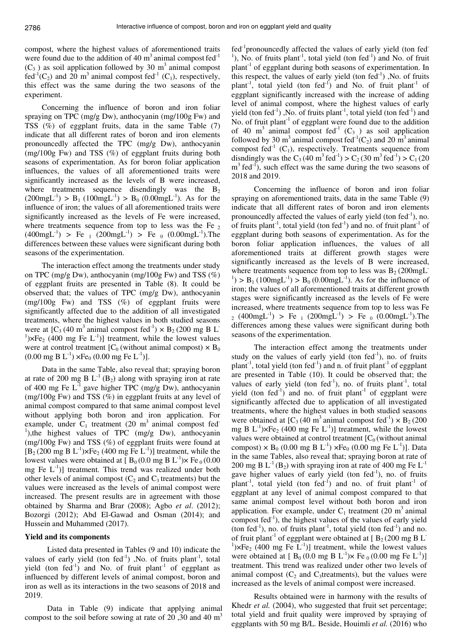compost, where the highest values of aforementioned traits were found due to the addition of 40  $m<sup>3</sup>$  animal compost fed<sup>-1</sup>  $(C_3)$  as soil application followed by 30 m<sup>3</sup> animal compost fed<sup>-1</sup>(C<sub>2</sub>) and 20 m<sup>3</sup> animal compost fed<sup>-1</sup> (C<sub>1</sub>), respectively, this effect was the same during the two seasons of the experiment.

Concerning the influence of boron and iron foliar spraying on TPC (mg/g Dw), anthocyanin (mg/100g Fw) and TSS (%) of eggplant fruits, data in the same Table (7) indicate that all different rates of boron and iron elements pronouncedly affected the TPC (mg/g Dw), anthocyanin (mg/100g Fw) and TSS (%) of eggplant fruits during both seasons of experimentation. As for boron foliar application influences, the values of all aforementioned traits were significantly increased as the levels of B were increased, where treatments sequence disendingly was the  $B_2$  $(200 \text{mgL}^{-1})$  > B<sub>1</sub>  $(100 \text{mgL}^{-1})$  > B<sub>0</sub>  $(0.00 \text{mgL}^{-1})$ . As for the influence of iron; the values of all aforementioned traits were significantly increased as the levels of Fe were increased, where treatments sequence from top to less was the Fe  $_2$  $(400 \text{mgL}^{-1})$  > Fe  $_1$   $(200 \text{mgL}^{-1})$  > Fe  $_0$   $(0.00 \text{mgL}^{-1})$ . The differences between these values were significant during both seasons of the experimentation.

The interaction effect among the treatments under study on TPC (mg/g Dw), anthocyanin (mg/100g Fw) and TSS (%) of eggplant fruits are presented in Table (8). It could be observed that; the values of TPC (mg/g Dw), anthocyanin (mg/100g Fw) and TSS (%) of eggplant fruits were significantly affected due to the addition of all investigated treatments, where the highest values in both studied seasons were at  $[C_3 (40 \text{ m}^3 \text{ animal compost fed}^{-1}) \times B_2 (200 \text{ mg B L}^{-1})$ <sup>1</sup>)×Fe<sub>2</sub> (400 mg Fe L<sup>-1</sup>)] treatment, while the lowest values were at control treatment  $[C_0$  (without animal compost)  $\times B_0$  $(0.00 \text{ mg B L}^{-1}) \times \text{Fe}_0 (0.00 \text{ mg Fe L}^{-1})$ .

Data in the same Table, also reveal that; spraying boron at rate of 200 mg B  $L^{-1}$  (B<sub>2</sub>) along with spraying iron at rate of 400 mg Fe  $L^{-1}$  gave higher TPC (mg/g Dw), anthocyanin (mg/100g Fw) and TSS (%) in eggplant fruits at any level of animal compost compared to that same animal compost level without applying both boron and iron application. For example, under  $C_1$  treatment (20 m<sup>3</sup> animal compost fed<sup>-</sup> <sup>1</sup>),the highest values of TPC (mg/g Dw), anthocyanin (mg/100g Fw) and TSS (%) of eggplant fruits were found at  $[B_2(200 \text{ mg } B L^{-1}) \times F_{2}(400 \text{ mg } F_{e} L^{-1})]$  treatment, while the lowest values were obtained at [ $B_0 (0.0$  mg B L<sup>-1</sup>) $\times$  Fe  $_0 (0.00$ mg Fe  $L^{-1}$ )] treatment. This trend was realized under both other levels of animal compost  $(C_2$  and  $C_3$  treatments) but the values were increased as the levels of animal compost were increased. The present results are in agreement with those obtained by Sharma and Brar (2008); Agbo *et al*. (2012); Bozorgi (2012); Abd El-Gawad and Osman (2014); and Hussein and Muhammed (2017).

### **Yield and its components**

Listed data presented in Tables (9 and 10) indicate the values of early yield (ton  $fed^{-1}$ ) ,No. of fruits plant<sup>-1</sup>, total yield (ton  $fed^{-1}$ ) and No. of fruit plant<sup>-1</sup> of eggplant as influenced by different levels of animal compost, boron and iron as well as its interactions in the two seasons of 2018 and 2019.

Data in Table (9) indicate that applying animal compost to the soil before sowing at rate of 20,30 and 40  $m<sup>3</sup>$ 

 $fed^{-1}$ pronouncedly affected the values of early yield (ton fed $^{-1}$  $1$ ), No. of fruits plant<sup>-1</sup>, total yield (ton fed<sup>-1</sup>) and No. of fruit plant-1 of eggplant during both seasons of experimentation. In this respect, the values of early yield (ton  $fed^{-1}$ ), No. of fruits plant<sup>-1</sup>, total yield (ton fed<sup>-1</sup>) and No. of fruit plant<sup>-1</sup> of eggplant significantly increased with the increase of adding level of animal compost, where the highest values of early yield (ton fed<sup>-1</sup>), No. of fruits plant<sup>-1</sup>, total yield (ton fed<sup>-1</sup>) and No. of fruit plant<sup>-1</sup> of eggplant were found due to the addition of 40 m<sup>3</sup> animal compost fed<sup>-1</sup> (C<sub>3</sub>) as soil application followed by 30 m<sup>3</sup> animal compost fed<sup>-1</sup>(C<sub>2</sub>) and 20 m<sup>3</sup> animal compost fed<sup>-1</sup> (C<sub>1</sub>), respectively. Treatments sequence from disndingly was the C<sub>3</sub> (40 m<sup>3</sup> fed<sup>-1</sup>) > C<sub>2</sub> (30 m<sup>3</sup> fed<sup>-1</sup>) > C<sub>1</sub> (20  $m<sup>3</sup>$  fed<sup>-1</sup>), such effect was the same during the two seasons of 2018 and 2019.

Concerning the influence of boron and iron foliar spraying on aforementioned traits, data in the same Table (9) indicate that all different rates of boron and iron elements pronouncedly affected the values of early yield (ton  $fed^{-1}$ ), no. of fruits plant<sup>-1</sup>, total yield (ton fed<sup>-1</sup>) and no. of fruit plant<sup>-1</sup> of eggplant during both seasons of experimentation. As for the boron foliar application influences, the values of all aforementioned traits at different growth stages were significantly increased as the levels of B were increased, where treatments sequence from top to less was  $B_2$  (200mgL<sup>-</sup> <sup>1</sup>) > B<sub>1</sub> (100mgL<sup>-1</sup>) > B<sub>0</sub> (0.00mgL<sup>-1</sup>). As for the influence of iron; the values of all aforementioned traits at different growth stages were significantly increased as the levels of Fe were increased, where treatments sequence from top to less was Fe  $_2$  (400mgL<sup>-1</sup>) > Fe  $_1$  (200mgL<sup>-1</sup>) > Fe  $_0$  (0.00mgL<sup>-1</sup>). The differences among these values were significant during both seasons of the experimentation.

The interaction effect among the treatments under study on the values of early yield (ton  $fed^{-1}$ ), no. of fruits plant<sup>-1</sup>, total yield (ton fed<sup>-1</sup>) and n. of fruit plant<sup>-1</sup> of eggplant are presented in Table (10). It could be observed that; the values of early yield (ton fed $^{-1}$ ), no. of fruits plant $^{-1}$ , total yield (ton fed<sup>-1</sup>) and no. of fruit plant<sup>-1</sup> of eggplant were significantly affected due to application of all investigated treatments, where the highest values in both studied seasons were obtained at  $[C_3 (40 \text{ m}^3 \text{ animal compost fed}^{-1}) \times B_2 (200$ mg B  $L^{-1}$ )×Fe<sub>2</sub> (400 mg Fe  $L^{-1}$ )] treatment, while the lowest values were obtained at control treatment  $[C_0$  (without animal compost)  $\times$  B<sub>0</sub> (0.00 mg B L<sup>-1</sup>)  $\times$  Fe<sub>0</sub> (0.00 mg Fe L<sup>-1</sup>)]. Data in the same Tables, also reveal that; spraying boron at rate of 200 mg B  $L^{-1}$  (B<sub>2</sub>) with spraying iron at rate of 400 mg Fe  $L^{-1}$ gave higher values of early yield (ton  $fed^{-1}$ ), no. of fruits plant<sup>-1</sup>, total yield (ton fed<sup>-1</sup>) and no. of fruit plant<sup>-1</sup> of eggplant at any level of animal compost compared to that same animal compost level without both boron and iron application. For example, under  $C_1$  treatment (20 m<sup>3</sup> animal compost  $\text{fed}^{-1}$ ), the highest values of the values of early yield (ton fed<sup>-1</sup>), no. of fruits plant<sup>-1</sup>, total yield (ton fed<sup>-1</sup>) and no. of fruit plant<sup>-1</sup> of eggplant were obtained at  $[ B_2 (200 \text{ mg } B L^{-1}])$ <sup>1</sup>)×Fe<sub>2</sub> (400 mg Fe L<sup>-1</sup>)] treatment, while the lowest values were obtained at  $[B_0 (0.0 \text{ mg } B L^{-1}) \times F e_0 (0.00 \text{ mg } F e L^{-1})]$ treatment. This trend was realized under other two levels of animal compost  $(C_2$  and  $C_3$ treatments), but the values were increased as the levels of animal compost were increased.

Results obtained were in harmony with the results of Khedr *et al.* (2004), who suggested that fruit set percentage; total yield and fruit quality were improved by spraying of eggplants with 50 mg B/L. Beside, Houimli *et al.* (2016) who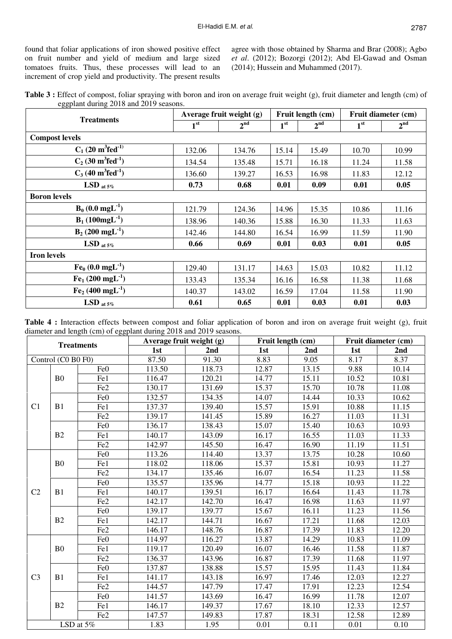found that foliar applications of iron showed positive effect on fruit number and yield of medium and large sized tomatoes fruits. Thus, these processes will lead to an increment of crop yield and productivity. The present results

agree with those obtained by Sharma and Brar (2008); Agbo *et al*. (2012); Bozorgi (2012); Abd El-Gawad and Osman (2014); Hussein and Muhammed (2017).

**Table 3 :** Effect of compost, foliar spraying with boron and iron on average fruit weight (g), fruit diameter and length (cm) of eggplant during 2018 and 2019 seasons.

|                                              |                 | Average fruit weight (g) |                 | Fruit length (cm) | Fruit diameter (cm) |                 |  |
|----------------------------------------------|-----------------|--------------------------|-----------------|-------------------|---------------------|-----------------|--|
| <b>Treatments</b>                            | 1 <sup>st</sup> | 2 <sup>nd</sup>          | 1 <sup>st</sup> | 2 <sup>nd</sup>   | 1 <sup>st</sup>     | 2 <sup>nd</sup> |  |
| <b>Compost levels</b>                        |                 |                          |                 |                   |                     |                 |  |
| $C_1$ (20 m <sup>3</sup> fed <sup>-1)</sup>  | 132.06          | 134.76                   | 15.14           | 15.49             | 10.70               | 10.99           |  |
| $C_2$ (30 m <sup>3</sup> fed <sup>-1</sup> ) | 134.54          | 135.48                   | 15.71           | 16.18             | 11.24               | 11.58           |  |
| $C_3$ (40 m <sup>3</sup> fed <sup>-1</sup> ) | 136.60          | 139.27                   | 16.53           | 16.98             | 11.83               | 12.12           |  |
| LSD at 5%                                    | 0.73            | 0.68                     | 0.01            | 0.09              | 0.01                | 0.05            |  |
| <b>Boron</b> levels                          |                 |                          |                 |                   |                     |                 |  |
| $B_0$ (0.0 mgL <sup>-1</sup> )               | 121.79          | 124.36                   | 14.96           | 15.35             | 10.86               | 11.16           |  |
| $B_1(100mgL^{-1})$                           | 138.96          | 140.36                   | 15.88           | 16.30             | 11.33               | 11.63           |  |
| $B_2(200 \text{ mgL}^{-1})$                  | 142.46          | 144.80                   | 16.54           | 16.99             | 11.59               | 11.90           |  |
| LSD at 5%                                    | 0.66            | 0.69                     | 0.01            | 0.03              | 0.01                | 0.05            |  |
| <b>Iron levels</b>                           |                 |                          |                 |                   |                     |                 |  |
| $Fe_0 (0.0 mgL^{-1})$                        | 129.40          | 131.17                   | 14.63           | 15.03             | 10.82               | 11.12           |  |
| $Fe1 (200 mgL-1)$                            | 133.43          | 135.34                   | 16.16           | 16.58             | 11.38               | 11.68           |  |
| $Fe2$ (400 mgL <sup>-1</sup> )               | 140.37          | 143.02                   | 16.59           | 17.04             | 11.58               | 11.90           |  |
| LSD at 5%                                    | 0.61            | 0.65                     | 0.01            | 0.03              | 0.01                | 0.03            |  |

Table 4 : Interaction effects between compost and foliar application of boron and iron on average fruit weight (g), fruit diameter and length (cm) of eggplant during 2018 and 2019 seasons.

| <b>Treatments</b>    |                    | Average fruit weight (g) |        | Fruit length (cm) |       | Fruit diameter (cm) |       |       |
|----------------------|--------------------|--------------------------|--------|-------------------|-------|---------------------|-------|-------|
|                      | Control (C0 B0 F0) |                          | 1st    | 2nd               | 1st   | 2 <sub>nd</sub>     | 1st   | 2nd   |
|                      |                    |                          | 87.50  | 91.30             | 8.83  | 9.05                | 8.17  | 8.37  |
|                      |                    | Fe <sub>0</sub>          | 113.50 | 118.73            | 12.87 | 13.15               | 9.88  | 10.14 |
|                      | B <sub>0</sub>     | Fe1                      | 116.47 | 120.21            | 14.77 | 15.11               | 10.52 | 10.81 |
|                      |                    | Fe <sub>2</sub>          | 130.17 | 131.69            | 15.37 | 15.70               | 10.78 | 11.08 |
| C <sub>1</sub><br>B1 |                    | Fe <sub>0</sub>          | 132.57 | 134.35            | 14.07 | 14.44               | 10.33 | 10.62 |
|                      |                    | Fe1                      | 137.37 | 139.40            | 15.57 | 15.91               | 10.88 | 11.15 |
|                      |                    | Fe <sub>2</sub>          | 139.17 | 141.45            | 15.89 | 16.27               | 11.03 | 11.31 |
|                      |                    | Fe <sub>0</sub>          | 136.17 | 138.43            | 15.07 | 15.40               | 10.63 | 10.93 |
|                      | B2                 | Fe1                      | 140.17 | 143.09            | 16.17 | 16.55               | 11.03 | 11.33 |
|                      |                    | Fe <sub>2</sub>          | 142.97 | 145.50            | 16.47 | 16.90               | 11.19 | 11.51 |
|                      |                    | Fe <sub>0</sub>          | 113.26 | 114.40            | 13.37 | 13.75               | 10.28 | 10.60 |
|                      | B <sub>0</sub>     | Fe1                      | 118.02 | 118.06            | 15.37 | 15.81               | 10.93 | 11.27 |
|                      |                    | Fe <sub>2</sub>          | 134.17 | 135.46            | 16.07 | 16.54               | 11.23 | 11.58 |
|                      |                    | Fe <sub>0</sub>          | 135.57 | 135.96            | 14.77 | 15.18               | 10.93 | 11.22 |
| C2                   | B1                 | Fe1                      | 140.17 | 139.51            | 16.17 | 16.64               | 11.43 | 11.78 |
|                      |                    | Fe <sub>2</sub>          | 142.17 | 142.70            | 16.47 | 16.98               | 11.63 | 11.97 |
|                      |                    | Fe <sub>0</sub>          | 139.17 | 139.77            | 15.67 | 16.11               | 11.23 | 11.56 |
|                      | B2                 | Fe1                      | 142.17 | 144.71            | 16.67 | 17.21               | 11.68 | 12.03 |
|                      |                    | Fe <sub>2</sub>          | 146.17 | 148.76            | 16.87 | 17.39               | 11.83 | 12.20 |
|                      |                    | Fe <sub>0</sub>          | 114.97 | 116.27            | 13.87 | 14.29               | 10.83 | 11.09 |
|                      | B <sub>0</sub>     | Fe1                      | 119.17 | 120.49            | 16.07 | 16.46               | 11.58 | 11.87 |
|                      |                    | Fe <sub>2</sub>          | 136.37 | 143.96            | 16.87 | 17.39               | 11.68 | 11.97 |
|                      |                    | Fe <sub>0</sub>          | 137.87 | 138.88            | 15.57 | 15.95               | 11.43 | 11.84 |
| C <sub>3</sub>       | B1                 | Fe1                      | 141.17 | 143.18            | 16.97 | 17.46               | 12.03 | 12.27 |
|                      |                    | Fe <sub>2</sub>          | 144.57 | 147.79            | 17.47 | 17.91               | 12.23 | 12.54 |
|                      |                    | Fe <sub>0</sub>          | 141.57 | 143.69            | 16.47 | 16.99               | 11.78 | 12.07 |
|                      | B2                 | Fe1                      | 146.17 | 149.37            | 17.67 | 18.10               | 12.33 | 12.57 |
|                      |                    | Fe <sub>2</sub>          | 147.57 | 149.83            | 17.87 | 18.31               | 12.58 | 12.89 |
|                      |                    | LSD at 5%                | 1.83   | 1.95              | 0.01  | 0.11                | 0.01  | 0.10  |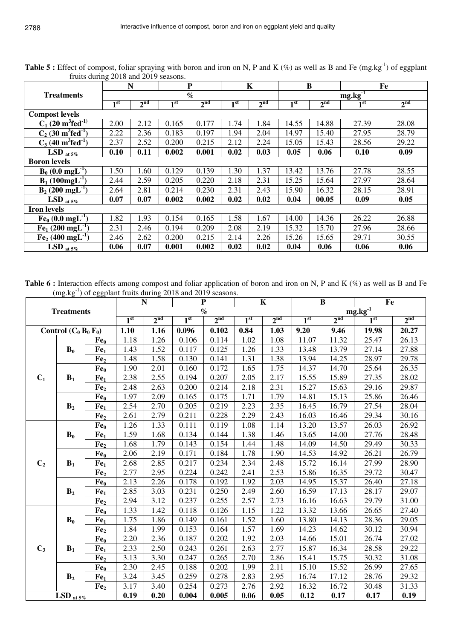|                                              |                 | N               |                 | $\mathbf P$     |                 | K               | B               |                 | Fe              |                 |
|----------------------------------------------|-----------------|-----------------|-----------------|-----------------|-----------------|-----------------|-----------------|-----------------|-----------------|-----------------|
| <b>Treatments</b>                            |                 |                 |                 | $\%$            |                 |                 |                 |                 | $mg.kg-1$       |                 |
|                                              | 1 <sup>st</sup> | 2 <sup>nd</sup> | 1 <sup>st</sup> | 2 <sup>nd</sup> | 1 <sup>st</sup> | 2 <sup>nd</sup> | 1 <sup>st</sup> | 2 <sup>nd</sup> | 1 <sup>st</sup> | 2 <sup>nd</sup> |
| <b>Compost levels</b>                        |                 |                 |                 |                 |                 |                 |                 |                 |                 |                 |
| $C_1$ (20 m <sup>3</sup> fed <sup>-1)</sup>  | 2.00            | 2.12            | 0.165           | 0.177           | 1.74            | 1.84            | 14.55           | 14.88           | 27.39           | 28.08           |
| $C_2$ (30 m <sup>3</sup> fed <sup>-1</sup> ) | 2.22            | 2.36            | 0.183           | 0.197           | 1.94            | 2.04            | 14.97           | 15.40           | 27.95           | 28.79           |
| $C_3$ (40 m <sup>3</sup> fed <sup>-1</sup> ) | 2.37            | 2.52            | 0.200           | 0.215           | 2.12            | 2.24            | 15.05           | 15.43           | 28.56           | 29.22           |
| LSD at $5\%$                                 | 0.10            | 0.11            | 0.002           | 0.001           | 0.02            | 0.03            | 0.05            | 0.06            | 0.10            | 0.09            |
| <b>Boron</b> levels                          |                 |                 |                 |                 |                 |                 |                 |                 |                 |                 |
| $B_0$ (0.0 mgL <sup>-1</sup> )               | 1.50            | 1.60            | 0.129           | 0.139           | 1.30            | 1.37            | 13.42           | 13.76           | 27.78           | 28.55           |
| $B_1(100mgL^{-1})$                           | 2.44            | 2.59            | 0.205           | 0.220           | 2.18            | 2.31            | 15.25           | 15.64           | 27.97           | 28.64           |
| $B_2(200 \text{ mgL}^{-1})$                  | 2.64            | 2.81            | 0.214           | 0.230           | 2.31            | 2.43            | 15.90           | 16.32           | 28.15           | 28.91           |
| LSD at $5\%$                                 | 0.07            | 0.07            | 0.002           | 0.002           | 0.02            | 0.02            | 0.04            | 00.05           | 0.09            | 0.05            |
| <b>Iron levels</b>                           |                 |                 |                 |                 |                 |                 |                 |                 |                 |                 |
| $Fe_0 (0.0$ mgL <sup>-1</sup>                | 1.82            | 1.93            | 0.154           | 0.165           | 1.58            | 1.67            | 14.00           | 14.36           | 26.22           | 26.88           |
| $[Fe1 (200 mgL-1]$                           | 2.31            | 2.46            | 0.194           | 0.209           | 2.08            | 2.19            | 15.32           | 15.70           | 27.96           | 28.66           |
| $Fe2$ (400 mgL <sup>-1</sup> )               | 2.46            | 2.62            | 0.200           | 0.215           | 2.14            | 2.26            | 15.26           | 15.65           | 29.71           | 30.55           |
| LSD $_{at.5\%}$                              | 0.06            | 0.07            | 0.001           | 0.002           | 0.02            | 0.02            | 0.04            | 0.06            | 0.06            | 0.06            |

**Table 5 :** Effect of compost, foliar spraying with boron and iron on N, P and K (%) as well as B and Fe (mg.kg<sup>-1</sup>) of eggplant fruits during 2018 and 2019 seasons.

Table 6 : Interaction effects among compost and foliar application of boron and iron on N, P and K (%) as well as B and Fe (mg.kg<sup>-1</sup>) of eggplant fruits during 2018 and 2019 seasons.

|                                  |                         |                 |                 | $\mathbf N$     |                 | $\mathbf{P}$    |                 | $\mathbf K$     |                 | $\bf{B}$        | Fe              |                 |
|----------------------------------|-------------------------|-----------------|-----------------|-----------------|-----------------|-----------------|-----------------|-----------------|-----------------|-----------------|-----------------|-----------------|
|                                  | <b>Treatments</b>       |                 |                 |                 |                 | $\%$            |                 |                 |                 |                 | $mg.kg^{-1}$    |                 |
|                                  |                         |                 | 1 <sup>st</sup> | 2 <sup>nd</sup> | 1 <sup>st</sup> | 2 <sup>nd</sup> | 1 <sup>st</sup> | 2 <sup>nd</sup> | 1 <sup>st</sup> | 2 <sup>nd</sup> | 1 <sup>st</sup> | 2 <sup>nd</sup> |
|                                  | Control $(C_0 B_0 F_0)$ |                 | 1.10            | 1.16            | 0.096           | 0.102           | 0.84            | 1.03            | 9.20            | 9.46            | 19.98           | 20.27           |
|                                  |                         | Fe <sub>0</sub> | 1.18            | 1.26            | 0.106           | 0.114           | 1.02            | 1.08            | 11.07           | 11.32           | 25.47           | 26.13           |
|                                  | $B_0$                   | Fe <sub>1</sub> | 1.43            | 1.52            | 0.117           | 0.125           | 1.26            | 1.33            | 13.48           | 13.79           | 27.14           | 27.88           |
|                                  |                         | Fe <sub>2</sub> | 1.48            | 1.58            | 0.130           | 0.141           | 1.31            | 1.38            | 13.94           | 14.25           | 28.97           | 29.78           |
| $C_1$<br>$B_1$<br>B <sub>2</sub> |                         | Fe <sub>0</sub> | 1.90            | 2.01            | 0.160           | 0.172           | 1.65            | 1.75            | 14.37           | 14.70           | 25.64           | 26.35           |
|                                  |                         | Fe <sub>1</sub> | 2.38            | 2.55            | 0.194           | 0.207           | 2.05            | 2.17            | 15.55           | 15.89           | 27.35           | 28.02           |
|                                  |                         | Fe <sub>2</sub> | 2.48            | 2.63            | 0.200           | 0.214           | 2.18            | 2.31            | 15.27           | 15.63           | 29.16           | 29.87           |
|                                  |                         | Fe <sub>0</sub> | 1.97            | 2.09            | 0.165           | 0.175           | 1.71            | 1.79            | 14.81           | 15.13           | 25.86           | 26.46           |
|                                  |                         | Fe <sub>1</sub> | 2.54            | 2.70            | 0.205           | 0.219           | 2.23            | 2.35            | 16.45           | 16.79           | 27.54           | 28.04           |
|                                  |                         | Fe <sub>2</sub> | 2.61            | 2.79            | 0.211           | 0.228           | 2.29            | 2.43            | 16.03           | 16.46           | 29.34           | 30.16           |
|                                  |                         | Fe <sub>0</sub> | 1.26            | 1.33            | 0.111           | 0.119           | 1.08            | 1.14            | 13.20           | 13.57           | 26.03           | 26.92           |
|                                  | $B_0$                   | Fe <sub>1</sub> | 1.59            | 1.68            | 0.134           | 0.144           | 1.38            | 1.46            | 13.65           | 14.00           | 27.76           | 28.48           |
|                                  |                         | Fe <sub>2</sub> | 1.68            | 1.79            | 0.143           | 0.154           | 1.44            | 1.48            | 14.09           | 14.50           | 29.49           | 30.33           |
|                                  |                         | Fe <sub>0</sub> | 2.06            | 2.19            | 0.171           | 0.184           | 1.78            | 1.90            | 14.53           | 14.92           | 26.21           | 26.79           |
| C <sub>2</sub>                   | $B_1$                   | Fe <sub>1</sub> | 2.68            | 2.85            | 0.217           | 0.234           | 2.34            | 2.48            | 15.72           | 16.14           | 27.99           | 28.90           |
|                                  |                         | Fe <sub>2</sub> | 2.77            | 2.95            | 0.224           | 0.242           | 2.41            | 2.53            | 15.86           | 16.35           | 29.72           | 30.47           |
|                                  |                         | Fe <sub>0</sub> | 2.13            | 2.26            | 0.178           | 0.192           | 1.92            | 2.03            | 14.95           | 15.37           | 26.40           | 27.18           |
|                                  | B <sub>2</sub>          | Fe <sub>1</sub> | 2.85            | 3.03            | 0.231           | 0.250           | 2.49            | 2.60            | 16.59           | 17.13           | 28.17           | 29.07           |
|                                  |                         | Fe <sub>2</sub> | 2.94            | 3.12            | 0.237           | 0.255           | 2.57            | 2.73            | 16.16           | 16.63           | 29.79           | 31.00           |
|                                  |                         | Fe <sub>0</sub> | 1.33            | 1.42            | 0.118           | 0.126           | 1.15            | 1.22            | 13.32           | 13.66           | 26.65           | 27.40           |
|                                  | $B_0$                   | Fe <sub>1</sub> | 1.75            | 1.86            | 0.149           | 0.161           | 1.52            | 1.60            | 13.80           | 14.13           | 28.36           | 29.05           |
|                                  |                         | Fe <sub>2</sub> | 1.84            | 1.99            | 0.153           | 0.164           | 1.57            | 1.69            | 14.23           | 14.62           | 30.12           | 30.94           |
|                                  |                         | Fe <sub>0</sub> | 2.20            | 2.36            | 0.187           | 0.202           | 1.92            | 2.03            | 14.66           | 15.01           | 26.74           | 27.02           |
| $C_3$                            | $B_1$                   | Fe <sub>1</sub> | 2.33            | 2.50            | 0.243           | 0.261           | 2.63            | 2.77            | 15.87           | 16.34           | 28.58           | 29.22           |
|                                  |                         | Fe <sub>2</sub> | 3.13            | 3.30            | 0.247           | 0.265           | 2.70            | 2.86            | 15.41           | 15.75           | 30.32           | 31.08           |
|                                  |                         | Fe <sub>0</sub> | 2.30            | 2.45            | 0.188           | 0.202           | 1.99            | 2.11            | 15.10           | 15.52           | 26.99           | 27.65           |
|                                  | B <sub>2</sub>          | Fe <sub>1</sub> | 3.24            | 3.45            | 0.259           | 0.278           | 2.83            | 2.95            | 16.74           | 17.12           | 28.76           | 29.32           |
|                                  |                         | Fe <sub>2</sub> | 3.17            | 3.40            | 0.254           | 0.273           | 2.76            | 2.92            | 16.32           | 16.72           | 30.48           | 31.33           |
|                                  | LSD at $5\%$            |                 | 0.19            | 0.20            | 0.004           | 0.005           | 0.06            | 0.05            | 0.12            | 0.17            | 0.17            | 0.19            |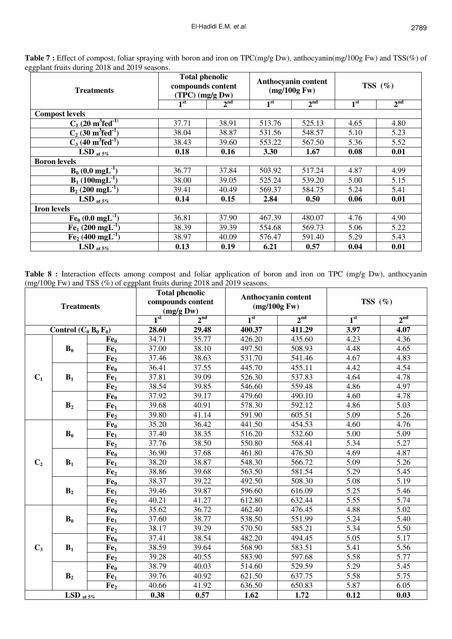| $50^\circ$<br><b>Treatments</b>              | <b>Total phenolic</b><br>compounds content<br>(TPC) (mg/g Dw) |                 |                 | Anthocyanin content<br>(mg/100g Fw) | TSS $(\%)$      |                 |  |
|----------------------------------------------|---------------------------------------------------------------|-----------------|-----------------|-------------------------------------|-----------------|-----------------|--|
|                                              | 1 <sup>st</sup>                                               | 2 <sup>nd</sup> | 1 <sup>st</sup> | 2 <sup>nd</sup>                     | 1 <sup>st</sup> | 2 <sup>nd</sup> |  |
| <b>Compost levels</b>                        |                                                               |                 |                 |                                     |                 |                 |  |
| $C_1$ (20 m <sup>3</sup> fed <sup>-1)</sup>  | 37.71                                                         | 38.91           | 513.76          | 525.13                              | 4.65            | 4.80            |  |
| $C_2$ (30 m <sup>3</sup> fed <sup>-1</sup> ) | 38.04                                                         | 38.87           | 531.56          | 548.57                              | 5.10            | 5.23            |  |
| $C_3$ (40 m <sup>3</sup> fed <sup>-1</sup> ) | 38.43                                                         | 39.60           | 553.22          | 567.50                              | 5.36            | 5.52            |  |
| $LSD$ at $5\%$                               | 0.18                                                          | 0.16            | 3.30            | 1.67                                | 0.08            | 0.01            |  |
| <b>Boron</b> levels                          |                                                               |                 |                 |                                     |                 |                 |  |
| $B_0$ (0.0 mgL <sup>-1</sup> )               | 36.77                                                         | 37.84           | 503.92          | 517.24                              | 4.87            | 4.99            |  |
| $B_1(100mgL^{-1})$                           | 38.00                                                         | 39.05           | 525.24          | 539.20                              | 5.00            | 5.15            |  |
| $B_2$ (200 mgL <sup>-1</sup> )               | 39.41                                                         | 40.49           | 569.37          | 584.75                              | 5.24            | 5.41            |  |
| LSD at $5\%$                                 | 0.14                                                          | 0.15            | 2.84            | 0.50                                | 0.06            | 0.01            |  |
| <b>Iron levels</b>                           |                                                               |                 |                 |                                     |                 |                 |  |
| $Fe_0 (0.0 mgL^{-1})$                        | 36.81                                                         | 37.90           | 467.39          | 480.07                              | 4.76            | 4.90            |  |
| $Fe1 (200 mgL-1)$                            | 38.39                                                         | 39.39           | 554.68          | 569.73                              | 5.06            | 5.22            |  |
| $Fe2$ (400 mgL <sup>-1</sup> )               | 38.97                                                         | 40.09           | 576.47          | 591.40                              | 5.29            | 5.43            |  |
| $LSD$ at $5\%$                               | 0.13                                                          | 0.19            | 6.21            | 0.57                                | 0.04            | 0.01            |  |

**Table 7 :** Effect of compost, foliar spraying with boron and iron on TPC(mg/g Dw), anthocyanin(mg/100g Fw) and TSS(%) of eggplant fruits during 2018 and 2019 seasons.

Table 8 : Interaction effects among compost and foliar application of boron and iron on TPC (mg/g Dw), anthocyanin (mg/100g Fw) and TSS (%) of eggplant fruits during 2018 and 2019 seasons.

|                | <b>Treatments</b>         |                 |                 | <b>Total phenolic</b><br>compounds content<br>(mg/gDw) |                 | <b>Anthocyanin content</b><br>(mg/100g Fw) | TSS $(\% )$       |                   |  |
|----------------|---------------------------|-----------------|-----------------|--------------------------------------------------------|-----------------|--------------------------------------------|-------------------|-------------------|--|
|                |                           |                 | 1 <sup>st</sup> | $2^{\text{nd}}$                                        | 1 <sup>st</sup> | 2 <sup>nd</sup>                            | 1 <sup>st</sup>   | 2 <sup>nd</sup>   |  |
|                | Control $(C_0 B_0 F_0)$   |                 | 28.60           | 29.48                                                  | 400.37          | 411.29                                     | 3.97              | 4.07              |  |
|                |                           | Fe <sub>0</sub> | 34.71           | 35.77                                                  | 426.20          | 435.60                                     | 4.23              | 4.36              |  |
|                | $B_0$                     | Fe <sub>1</sub> | 37.00           | 38.10                                                  | 497.50          | 508.93                                     | 4.48              | 4.65              |  |
|                |                           | Fe <sub>2</sub> | 37.46           | 38.63                                                  | 531.70          | 541.46                                     | 4.67              | 4.83              |  |
|                |                           | Fe <sub>0</sub> | 36.41           | 37.55                                                  | 445.70          | 455.11                                     | 4.42              | 4.54              |  |
| $C_1$          | $B_1$                     | Fe <sub>1</sub> | 37.81           | 39.09                                                  | 526.30          | 537.83                                     | 4.64              | 4.78              |  |
|                |                           | Fe,             | 38.54           | 39.85                                                  | 546.60          | 559.48                                     | 4.86              | 4.97              |  |
|                |                           | Fe <sub>0</sub> | 37.92           | 39.17                                                  | 479.60          | 490.10                                     | 4.60              | 4.78              |  |
|                | B <sub>2</sub>            | Fe <sub>1</sub> | 39.68           | 40.91                                                  | 578.30          | 592.12                                     | 4.86              | 5.03              |  |
|                |                           | Fe <sub>2</sub> | 39.80           | 41.14                                                  | 591.90          | 605.51                                     | 5.09              | 5.26              |  |
|                |                           | Fe <sub>0</sub> | 35.20           | 36.42                                                  | 441.50          | 454.53                                     | 4.60              | 4.76              |  |
|                | $B_0$                     | Fe <sub>1</sub> | 37.40           | 38.35                                                  | 516.20          | 532.60                                     | 5.00              | 5.09              |  |
|                |                           | Fe <sub>2</sub> | 37.76           | 38.50                                                  | 550.80          | 568.41                                     | 5.34              | 5.27              |  |
|                |                           | Fe <sub>0</sub> | 36.90           | 37.68                                                  | 461.80          | 476.50                                     | 4.69              | 4.87              |  |
| C <sub>2</sub> | $B_1$                     | Fe <sub>1</sub> | 38.20           | 38.87                                                  | 548.30          | 566.72                                     | 5.09              | 5.26              |  |
|                |                           | Fe <sub>2</sub> | 38.86           | 39.68                                                  | 563.50          | 581.54                                     | 5.29              | 5.45              |  |
|                |                           | Fe <sub>0</sub> | 38.37           | 39.22                                                  | 492.50          | 508.30                                     | 5.08              | 5.19              |  |
|                | B <sub>2</sub>            | Fe <sub>1</sub> | 39.46           | 39.87                                                  | 596.60          | 616.09                                     | 5.25              | 5.46              |  |
|                |                           | Fe <sub>2</sub> | 40.21           | 41.27                                                  | 612.80          | 632.44                                     | 5.55              | $\overline{5.74}$ |  |
|                |                           | Fe <sub>0</sub> | 35.62           | 36.72                                                  | 462.40          | 476.45                                     | 4.88              | 5.02              |  |
|                | $B_0$                     | Fe <sub>1</sub> | 37.60           | 38.77                                                  | 538.50          | 551.99                                     | 5.24              | 5.40              |  |
|                |                           | Fe <sub>2</sub> | 38.17           | 39.29                                                  | 570.50          | 585.21                                     | 5.34              | 5.50              |  |
|                |                           | Fe <sub>0</sub> | 37.41           | 38.54                                                  | 482.20          | 494.45                                     | $\overline{5.05}$ | 5.17              |  |
| $C_3$          | $B_1$                     | Fe <sub>1</sub> | 38.59           | 39.64                                                  | 568.90          | 583.51                                     | 5.41              | 5.56              |  |
|                |                           | Fe <sub>2</sub> | 39.28           | 40.55                                                  | 583.90          | 597.68                                     | 5.58              | 5.77              |  |
|                |                           | Fe <sub>0</sub> | 38.79           | 40.03                                                  | 514.60          | 529.59                                     | 5.29              | 5.45              |  |
|                | B <sub>2</sub>            | Fe <sub>1</sub> | 39.76           | 40.92                                                  | 621.50          | 637.75                                     | 5.58              | 5.75              |  |
|                |                           | Fe <sub>2</sub> | 40.66           | 41.92                                                  | 636.50          | 650.83                                     | 5.87              | 6.05              |  |
|                | $\overline{LSD}_{at 5\%}$ |                 | 0.38            | 0.57                                                   | 1.62            | 1.72                                       | 0.12              | 0.03              |  |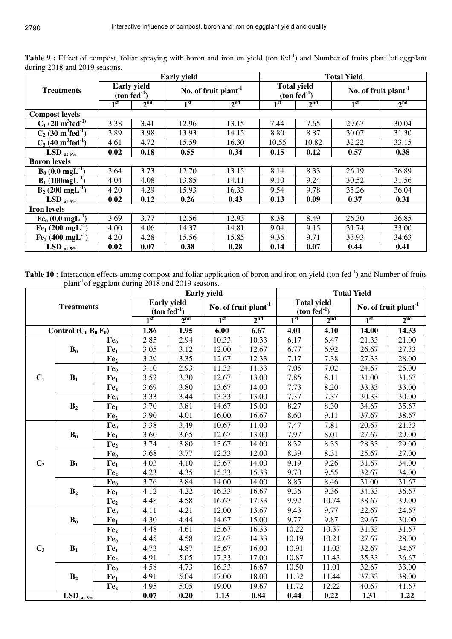| $\frac{1}{2}$ and $\frac{1}{2}$ seasons.     |                                     |                 | <b>Early yield</b>               |                 | <b>Total Yield</b> |                 |                                  |                 |  |  |
|----------------------------------------------|-------------------------------------|-----------------|----------------------------------|-----------------|--------------------|-----------------|----------------------------------|-----------------|--|--|
| <b>Treatments</b>                            | <b>Early yield</b><br>$(ton fed-1)$ |                 | No. of fruit plant <sup>-1</sup> |                 | <b>Total yield</b> | $(ton fed-1)$   | No. of fruit plant <sup>-1</sup> |                 |  |  |
|                                              | 1 <sup>st</sup>                     | 2 <sup>nd</sup> | 1 <sup>st</sup>                  | 2 <sup>nd</sup> | 1 <sup>st</sup>    | 2 <sup>nd</sup> | 1 <sup>st</sup>                  | 2 <sup>nd</sup> |  |  |
| <b>Compost levels</b>                        |                                     |                 |                                  |                 |                    |                 |                                  |                 |  |  |
| $C_1$ (20 m <sup>3</sup> fed <sup>-1)</sup>  | 3.38                                | 3.41            | 12.96                            | 13.15           | 7.44               | 7.65            | 29.67                            | 30.04           |  |  |
| $C_2$ (30 m <sup>3</sup> fed <sup>-1</sup> ) | 3.89                                | 3.98            | 13.93                            | 14.15           | 8.80               | 8.87            | 30.07                            | 31.30           |  |  |
| $C_3$ (40 m <sup>3</sup> fed <sup>-1</sup> ) | 4.61                                | 4.72            | 15.59                            | 16.30           | 10.55              | 10.82           | 32.22                            | 33.15           |  |  |
| LSD at $5\%$                                 | 0.02                                | 0.18            | 0.55                             | 0.34            | 0.15               | 0.12            | 0.57                             | 0.38            |  |  |
| <b>Boron levels</b>                          |                                     |                 |                                  |                 |                    |                 |                                  |                 |  |  |
| $B_0$ (0.0 mgL <sup>-1</sup> )               | 3.64                                | 3.73            | 12.70                            | 13.15           | 8.14               | 8.33            | 26.19                            | 26.89           |  |  |
| $B_1(100mgL^{-1})$                           | 4.04                                | 4.08            | 13.85                            | 14.11           | 9.10               | 9.24            | 30.52                            | 31.56           |  |  |
| $B_2(200 \text{ mgL}^{-1})$                  | 4.20                                | 4.29            | 15.93                            | 16.33           | 9.54               | 9.78            | 35.26                            | 36.04           |  |  |
| $LSD$ at $5\%$                               | 0.02                                | 0.12            | 0.26                             | 0.43            | 0.13               | 0.09            | 0.37                             | 0.31            |  |  |
| <b>Iron levels</b>                           |                                     |                 |                                  |                 |                    |                 |                                  |                 |  |  |
| $Fe_0 (0.0$ mgL <sup>-1</sup> )              | 3.69                                | 3.77            | 12.56                            | 12.93           | 8.38               | 8.49            | 26.30                            | 26.85           |  |  |
| $Fe1 (200 mgL-1)$                            | 4.00                                | 4.06            | 14.37                            | 14.81           | 9.04               | 9.15            | 31.74                            | 33.00           |  |  |
| $Fe2$ (400 mgL <sup>-1</sup> )               | 4.28<br>4.20<br>15.56               |                 | 15.85                            | 9.36            | 9.71               | 33.93           | 34.63                            |                 |  |  |
| LSD $_{at5\%}$                               | 0.02                                | 0.07            | 0.38                             | 0.28            | 0.14               | 0.07            | 0.44                             | 0.41            |  |  |

Table 9 : Effect of compost, foliar spraying with boron and iron on yield (ton fed<sup>-1</sup>) and Number of fruits plant<sup>-1</sup>of eggplant during 2018 and 2019 seasons.

Table 10 : Interaction effects among compost and foliar application of boron and iron on yield (ton fed<sup>-1</sup>) and Number of fruits plant<sup>-1</sup>of eggplant during 2018 and 2019 seasons.

|                                           |                           |                 |                 |                                        | <b>Early yield</b> |                                  |                 |                                     | <b>Total Yield</b> |                                  |
|-------------------------------------------|---------------------------|-----------------|-----------------|----------------------------------------|--------------------|----------------------------------|-----------------|-------------------------------------|--------------------|----------------------------------|
|                                           | <b>Treatments</b>         |                 |                 | <b>Early yield</b><br>$(ton fed^{-1})$ |                    | No. of fruit plant <sup>-1</sup> |                 | <b>Total yield</b><br>$(ton fed-1)$ |                    | No. of fruit plant <sup>-1</sup> |
|                                           |                           |                 | 1 <sup>st</sup> | 2 <sub>nd</sub>                        | 1 <sup>st</sup>    | 2 <sup>nd</sup>                  | 1 <sup>st</sup> | 2 <sup>nd</sup>                     | 1 <sup>st</sup>    | 2 <sup>nd</sup>                  |
|                                           | Control $(C_0 B_0 F_0)$   |                 | 1.86            | 1.95                                   | 6.00               | 6.67                             | 4.01            | 4.10                                | 14.00              | 14.33                            |
|                                           |                           | Fe <sub>0</sub> | 2.85            | 2.94                                   | 10.33              | 10.33                            | 6.17            | 6.47                                | 21.33              | 21.00                            |
|                                           | $B_0$                     | Fe <sub>1</sub> | 3.05            | 3.12                                   | 12.00              | 12.67                            | 6.77            | 6.92                                | 26.67              | 27.33                            |
|                                           |                           | Fe <sub>2</sub> | 3.29            | 3.35                                   | 12.67              | 12.33                            | 7.17            | 7.38                                | 27.33              | 28.00                            |
|                                           |                           | Fe <sub>0</sub> | 3.10            | 2.93                                   | 11.33              | 11.33                            | 7.05            | 7.02                                | 24.67              | 25.00                            |
| C <sub>1</sub><br>$B_1$<br>B <sub>2</sub> |                           | Fe <sub>1</sub> | 3.52            | 3.30                                   | 12.67              | 13.00                            | 7.85            | 8.11                                | 31.00              | 31.67                            |
|                                           |                           | Fe <sub>2</sub> | 3.69            | 3.80                                   | 13.67              | 14.00                            | 7.73            | 8.20                                | 33.33              | 33.00                            |
|                                           |                           | Fe <sub>0</sub> | 3.33            | 3.44                                   | 13.33              | 13.00                            | 7.37            | 7.37                                | 30.33              | 30.00                            |
|                                           |                           | Fe <sub>1</sub> | 3.70            | 3.81                                   | 14.67              | 15.00                            | 8.27            | 8.30                                | 34.67              | 35.67                            |
|                                           |                           | Fe <sub>2</sub> | 3.90            | 4.01                                   | 16.00              | 16.67                            | 8.60            | 9.11                                | 37.67              | 38.67                            |
|                                           |                           | Fe <sub>0</sub> | 3.38            | $\overline{3.49}$                      | 10.67              | 11.00                            | 7.47            | 7.81                                | 20.67              | 21.33                            |
|                                           | $B_0$                     | Fe <sub>1</sub> | 3.60            | 3.65                                   | 12.67              | 13.00                            | 7.97            | 8.01                                | 27.67              | 29.00                            |
|                                           |                           | Fe <sub>2</sub> | 3.74            | 3.80                                   | 13.67              | 14.00                            | 8.32            | 8.35                                | 28.33              | 29.00                            |
|                                           |                           | Fe <sub>0</sub> | 3.68            | 3.77                                   | 12.33              | 12.00                            | 8.39            | 8.31                                | 25.67              | 27.00                            |
| C <sub>2</sub>                            | $B_1$                     | Fe <sub>1</sub> | 4.03            | 4.10                                   | 13.67              | 14.00                            | 9.19            | 9.26                                | 31.67              | 34.00                            |
|                                           |                           | Fe <sub>2</sub> | 4.23            | 4.35                                   | 15.33              | 15.33                            | 9.70            | 9.55                                | 32.67              | 34.00                            |
|                                           |                           | Fe <sub>0</sub> | 3.76            | 3.84                                   | 14.00              | 14.00                            | 8.85            | 8.46                                | 31.00              | 31.67                            |
|                                           | B <sub>2</sub>            | Fe <sub>1</sub> | 4.12            | 4.22                                   | 16.33              | 16.67                            | 9.36            | 9.36                                | 34.33              | 36.67                            |
|                                           |                           | Fe <sub>2</sub> | 4.48            | 4.58                                   | 16.67              | 17.33                            | 9.92            | 10.74                               | 38.67              | 39.00                            |
|                                           |                           | Fe <sub>0</sub> | 4.11            | 4.21                                   | 12.00              | 13.67                            | 9.43            | 9.77                                | 22.67              | 24.67                            |
|                                           | $B_0$                     | Fe <sub>1</sub> | 4.30            | 4.44                                   | 14.67              | 15.00                            | 9.77            | 9.87                                | 29.67              | 30.00                            |
|                                           |                           | Fe <sub>2</sub> | 4.48            | 4.61                                   | 15.67              | 16.33                            | 10.22           | 10.37                               | 31.33              | 31.67                            |
|                                           |                           | Fe <sub>0</sub> | 4.45            | 4.58                                   | 12.67              | 14.33                            | 10.19           | 10.21                               | 27.67              | 28.00                            |
| $C_3$                                     | B <sub>1</sub>            | Fe <sub>1</sub> | 4.73            | 4.87                                   | 15.67              | 16.00                            | 10.91           | 11.03                               | 32.67              | 34.67                            |
|                                           |                           | Fe <sub>2</sub> | 4.91            | 5.05                                   | 17.33              | 17.00                            | 10.87           | 11.43                               | 35.33              | 36.67                            |
|                                           |                           | Fe <sub>0</sub> | 4.58            | 4.73                                   | 16.33              | 16.67                            | 10.50           | 11.01                               | 32.67              | 33.00                            |
|                                           | B <sub>2</sub>            | Fe <sub>1</sub> | 4.91            | 5.04                                   | 17.00              | 18.00                            | 11.32           | 11.44                               | 37.33              | 38.00                            |
|                                           |                           | Fe <sub>2</sub> | 4.95            | 5.05                                   | 19.00              | 19.67                            | 11.72           | 12.22                               | 40.67              | 41.67                            |
|                                           | $\overline{LSD}_{at.5\%}$ |                 | 0.07            | 0.20                                   | 1.13               | 0.84                             | 0.44            | 0.22                                | 1.31               | 1.22                             |